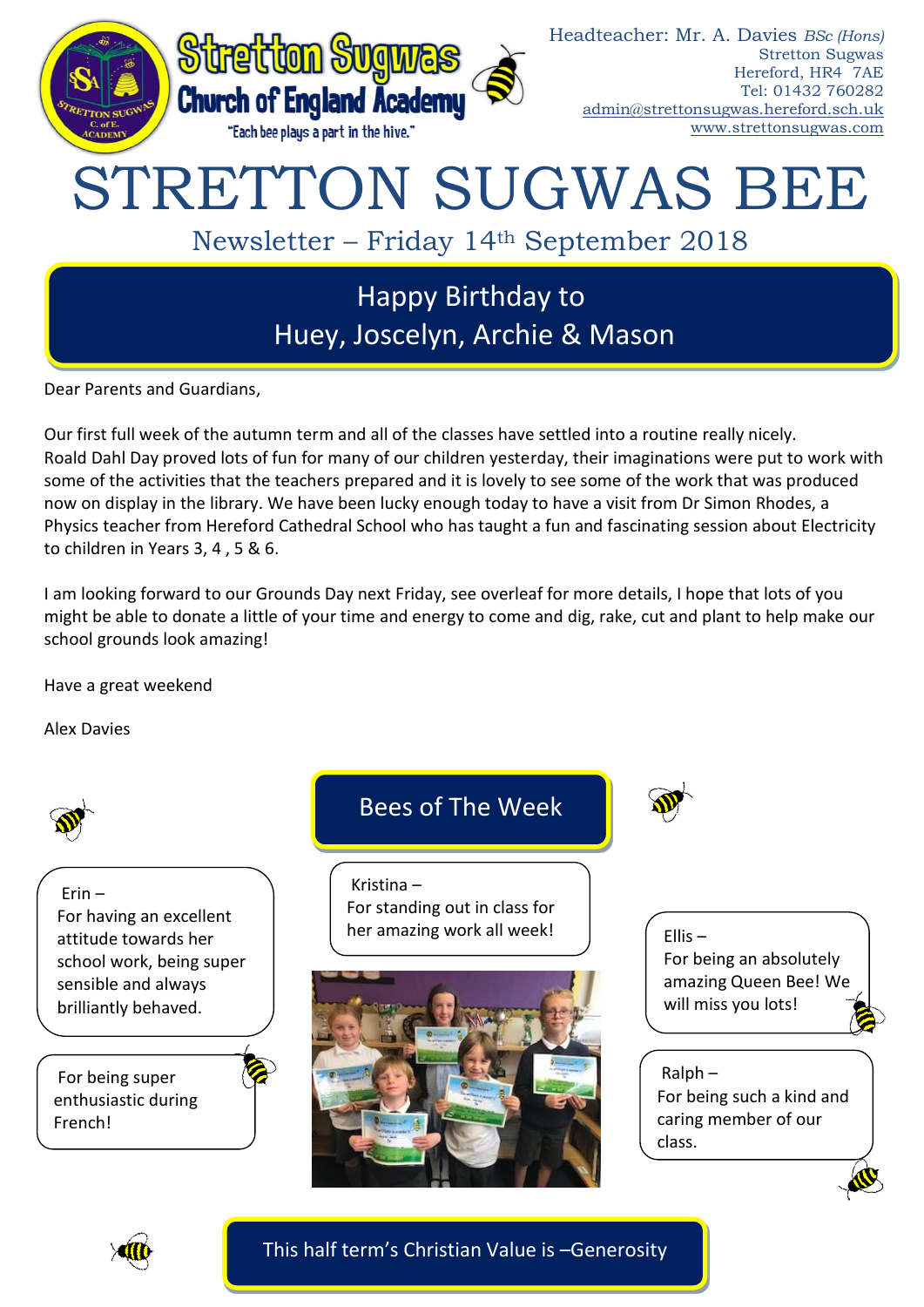

Dear Parents and Guardians,

Our first full week of the autumn term and all of the classes have settled into a routine really nicely. Roald Dahl Day proved lots of fun for many of our children yesterday, their imaginations were put to work with some of the activities that the teachers prepared and it is lovely to see some of the work that was produced now on display in the library. We have been lucky enough today to have a visit from Dr Simon Rhodes, a Physics teacher from Hereford Cathedral School who has taught a fun and fascinating session about Electricity to children in Years 3, 4 , 5 & 6.

I am looking forward to our Grounds Day next Friday, see overleaf for more details, I hope that lots of you might be able to donate a little of your time and energy to come and dig, rake, cut and plant to help make our school grounds look amazing!

Have a great weekend

Alex Davies



Erin – For having an excellent attitude towards her school work, being super sensible and always brilliantly behaved.

For being super enthusiastic during French!

# Bees of The Week

Kristina – For standing out in class for her amazing work all week!





Ellis – For being an absolutely amazing Queen Bee! We will miss you lots!

Ralph – For being such a kind and caring member of our class.



This half term's Christian Value is –Generosity